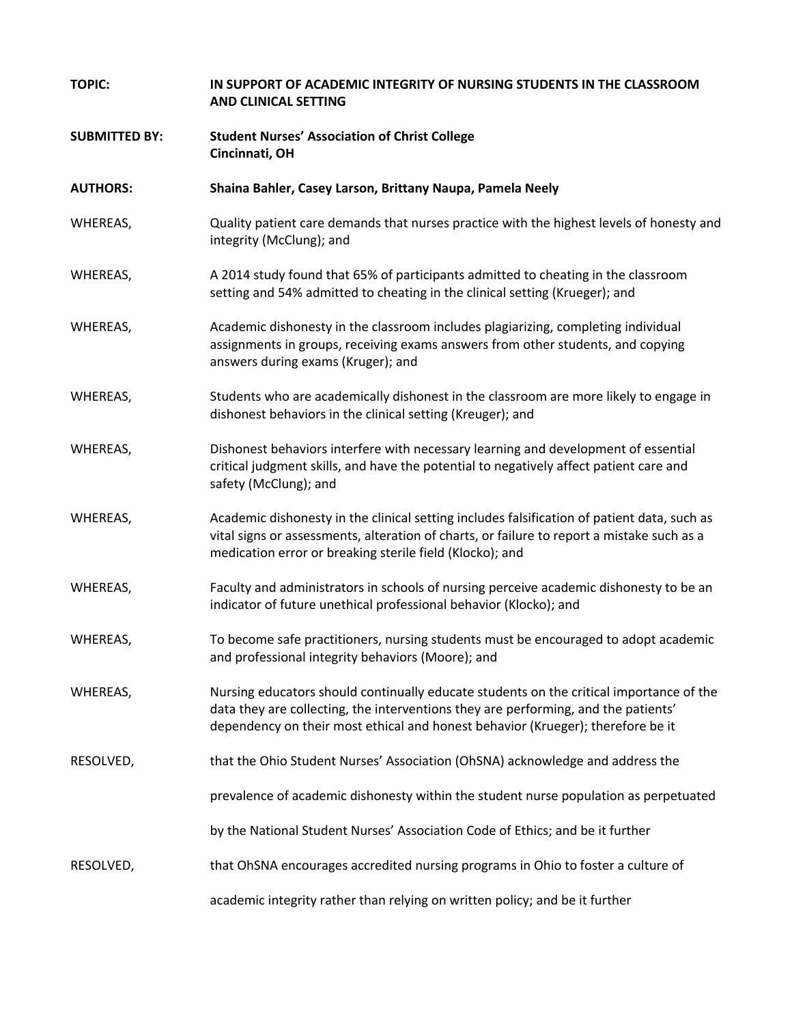| <b>TOPIC:</b>        | IN SUPPORT OF ACADEMIC INTEGRITY OF NURSING STUDENTS IN THE CLASSROOM<br><b>AND CLINICAL SETTING</b>                                                                                                                                                             |
|----------------------|------------------------------------------------------------------------------------------------------------------------------------------------------------------------------------------------------------------------------------------------------------------|
| <b>SUBMITTED BY:</b> | <b>Student Nurses' Association of Christ College</b><br>Cincinnati, OH                                                                                                                                                                                           |
| <b>AUTHORS:</b>      | Shaina Bahler, Casey Larson, Brittany Naupa, Pamela Neely                                                                                                                                                                                                        |
| WHEREAS,             | Quality patient care demands that nurses practice with the highest levels of honesty and<br>integrity (McClung); and                                                                                                                                             |
| WHEREAS,             | A 2014 study found that 65% of participants admitted to cheating in the classroom<br>setting and 54% admitted to cheating in the clinical setting (Krueger); and                                                                                                 |
| WHEREAS,             | Academic dishonesty in the classroom includes plagiarizing, completing individual<br>assignments in groups, receiving exams answers from other students, and copying<br>answers during exams (Kruger); and                                                       |
| WHEREAS,             | Students who are academically dishonest in the classroom are more likely to engage in<br>dishonest behaviors in the clinical setting (Kreuger); and                                                                                                              |
| WHEREAS,             | Dishonest behaviors interfere with necessary learning and development of essential<br>critical judgment skills, and have the potential to negatively affect patient care and<br>safety (McClung); and                                                            |
| WHEREAS,             | Academic dishonesty in the clinical setting includes falsification of patient data, such as<br>vital signs or assessments, alteration of charts, or failure to report a mistake such as a<br>medication error or breaking sterile field (Klocko); and            |
| WHEREAS,             | Faculty and administrators in schools of nursing perceive academic dishonesty to be an<br>indicator of future unethical professional behavior (Klocko); and                                                                                                      |
| WHEREAS,             | To become safe practitioners, nursing students must be encouraged to adopt academic<br>and professional integrity behaviors (Moore); and                                                                                                                         |
| WHEREAS,             | Nursing educators should continually educate students on the critical importance of the<br>data they are collecting, the interventions they are performing, and the patients'<br>dependency on their most ethical and honest behavior (Krueger); therefore be it |
| RESOLVED,            | that the Ohio Student Nurses' Association (OhSNA) acknowledge and address the                                                                                                                                                                                    |
|                      | prevalence of academic dishonesty within the student nurse population as perpetuated                                                                                                                                                                             |
|                      | by the National Student Nurses' Association Code of Ethics; and be it further                                                                                                                                                                                    |
| RESOLVED,            | that OhSNA encourages accredited nursing programs in Ohio to foster a culture of                                                                                                                                                                                 |
|                      | academic integrity rather than relying on written policy; and be it further                                                                                                                                                                                      |